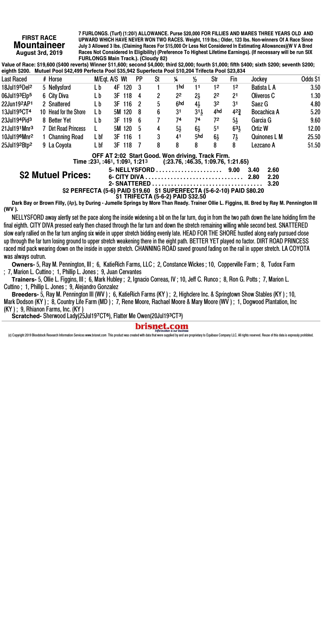### **FIRST RACE Mountaineer** August 3rd, 2019

7 FURLONGS. (Turf) (1:202) ALLOWANCE. Purse \$20,000 FOR FILLIES AND MARES THREE YEARS OLD AND UPWARD WHICH HAVE NEVER WON TWO RACES. Weight, 119 Ibs.; Older, 123 Ibs. Non-winners Of A Race Since<br>July 3 Allowed 3 Ibs. (Claiming Races For \$15,000 Or Less Not Considered In Estimating Allowances) (WV A Bred Races Not Considered In Eligibility) (Preference To Highest Lifetime Earnings). (If necessary will be run SIX **FURLONGS Main Track.). (Cloudy 82)** 

Value of Race: \$19,600 (\$400 reverts) Winner \$11,600; second \$4,000; third \$2,000; fourth \$1,000; fifth \$400; sixth \$200; seventh \$200; eighth \$200. Mutuel Pool \$42,499 Perfecta Pool \$35,942 Superfecta Pool \$10,204 Trifecta Pool \$23,834

| <b>Last Raced</b>        | # Horse               | M/Eqt. A/S Wt                  |    |        | <b>PP</b>    | St | ¼                                                                                      | $\frac{1}{2}$   | Str | Fin             | Jockey                               | Odds \$1 |
|--------------------------|-----------------------|--------------------------------|----|--------|--------------|----|----------------------------------------------------------------------------------------|-----------------|-----|-----------------|--------------------------------------|----------|
| 18Jul195Del <sup>2</sup> | 5 Nellysford          | L b                            | 4F | 120    | -3           |    | 1 hd                                                                                   | 11              | 12  | 12              | <b>Batista L A</b>                   | 3.50     |
| 06Jul193Elp5             | 6 City Diva           | L b                            |    | 3F 118 | 4            | 2  | 22                                                                                     | 21              | 22  | 21              | Oliveros C                           | 1.30     |
| 22Jun192AP1              | 2 Snattered           | L b                            |    | 3F 116 | 2            | 5  | 6hd                                                                                    | $4\frac{1}{2}$  | 32  | 31              | Saez G                               | 4.80     |
| 13Jul195CT4              | 10 Head for the Shore | Lb                             |    | 5M 120 | -8           | 6  | 31                                                                                     | $31\frac{1}{2}$ | 4hd | 42월             | Bocachica A                          | 5.20     |
| 23Jul194Pid <sup>3</sup> | 8 Better Yet          | L b                            |    | 3F 119 | 6            |    | 74                                                                                     | 74              | 72  | $5\frac{1}{2}$  | Garcia G                             | 9.60     |
| 21Jul191Mnr <sup>3</sup> | 7 Dirt Road Princess  |                                |    | 5M 120 | 5            | 4  | $5\frac{1}{2}$                                                                         | $6\frac{1}{2}$  | 51  | $63\frac{1}{2}$ | Ortiz W                              | 12.00    |
| 10Jul196Mnr2             | 1 Channing Road       | L bf                           |    | 3F 116 |              | 3  | 41                                                                                     | 5hd             | 61  | 71,             | Quinones L M                         | 25.50    |
| 25Jul192Btp2             | 9 La Coyota           | L bf                           |    | 3F 118 | 7            | 8  | 8                                                                                      | 8               | 8   | 8               | Lezcano A                            | 51.50    |
|                          |                       | Time: 233, : 461, 1:093, 1:213 |    |        |              |    | OFF AT 2:02 Start Good. Won driving. Track Firm.<br>(.23.76, .46.35, 1.09.76, 1.21.65) |                 |     |                 |                                      |          |
|                          | \$2 Mutuel Prices:    |                                |    |        | 2- SNATTFRFD |    |                                                                                        |                 |     | 9.00            | 3.40<br>2.60<br>2.20<br>2.80<br>3.20 |          |

2- SNATTERED . . . .

\$2 PERFECTA (5-6) PAID \$19.60 \$1 SUPERFECTA (5-6-2-10) PAID \$80.20<br>\$1 TRIFECTA (5-6-2) PAID \$32.50

Dark Bay or Brown Filly, (Apr), by During - Jumelle Springs by More Than Ready. Trainer Ollie L. Figgins, Ill. Bred by Ray M. Pennington III (WV).

NELLYSFORD away alertly set the pace along the inside widening a bit on the far turn, dug in from the two path down the lane holding firm the final eighth. CITY DIVA pressed early then chased through the far turn and down the stretch remaining willing while second best. SNATTERED slow early rallied on the far turn angling six wide in upper stretch bidding evenly late. HEAD FOR THE SHORE hustled along early pursued close up through the far turn losing ground to upper stretch weakening there in the eight path. BETTER YET played no factor. DIRT ROAD PRINCESS raced mid pack wearing down on the inside in upper stretch. CHANNING ROAD saved ground fading on the rail in upper stretch. LA COYOTA was always outrun.

Owners- 5, Ray M. Pennington, III ; 6, KatieRich Farms, LLC ; 2, Constance Wickes ; 10, Copperville Farm ; 8, Tudox Farm ; 7, Marion L. Cuttino; 1, Phillip L. Jones; 9, Juan Cervantes

Trainers- 5, Ollie L. Figgins, III; 6, Mark Hubley; 2, Ignacio Correas, IV; 10, Jeff C. Runco; 8, Ron G. Potts; 7, Marion L. Cuttino; 1, Phillip L. Jones; 9, Alejandro Gonzalez

Breeders- 5, Ray M. Pennington III (WV); 6, KatieRich Farms (KY); 2, Highclere Inc. & Springtown Show Stables (KY); 10, Mark Dodson (KY); 8, Country Life Farm (MD); 7, Rene Moore, Rachael Moore & Mary Moore (WV); 1, Dogwoo (KY); 9, Rhianon Farms, Inc. (KY)

Scratched-Sherwood Lady(25Jul197CT6), Flatter Me Owen(20Jul193CT3)

### brisnet.com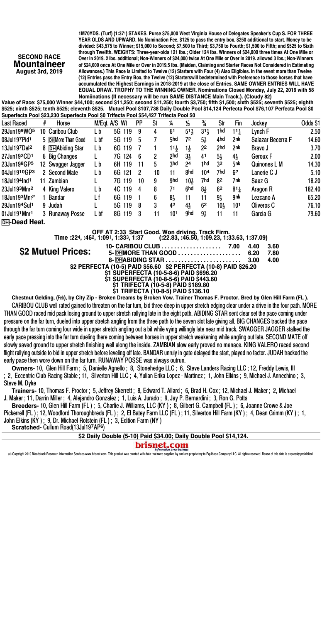SECOND RACE Mountaineer August 3rd, 2019

\$2 M

1M70YDS. (Turf) (1:37¨) STAKES. Purse \$75,000 West Virginia House of Delegates Speaker's Cup S. FOR THREE YEAR OLDS AND UPWARD. No Nomination Fee. \$125 to pass the entry box. \$250 additional to start. Money to be divided: \$43,575 to Winner; \$15,000 to Second; \$7,500 to Third; \$3,750 to Fourth; \$1,500 to Fifth; and \$525 to Sixth through Twelfth. WEIGHTS: Three-year-olds 121 lbs.; Older 124 lbs. Winners of \$24,000 three times At One Mile or Over in 2019. 2 lbs. additional; Non-Winners of \$24,000 twice At One Mile or Over in 2019. allowed 3 lbs.; Non-Winners of \$24,000 once At One Mile or Over in 2019.5 lbs. (Maiden, Claiming and Starter Races Not Considered in Estimating Allowances.) This Race is Limited to Twelve (12) Starters with Four (4) Also Eligibles. In the event more than Twelve (12) Entries pass the Entry Box, the Twelve (12) Starterswill bedetermined with Preference to those horses that have accumulated the Highest Earnings in 2018-2019 at the close of Entries. SAME OWNER ENTRIES WILL HAVE EQUAL DRAW. TROPHY TO THE WINNING OWNER. Nominations Closed Monday, July 22, 2019 with 58 Nomiinations (If necessary will be run SAME DISTANCE Main Track.). (Cloudy 82)

Value of Race: \$75,000 Winner \$44,100; second \$11,250; second \$11,250; fourth \$3,750; fifth \$1,500; sixth \$525; seventh \$525; eighth \$525; ninth \$525; tenth \$525; eleventh \$525. Mutuel Pool \$107,738 Daily Double Pool \$14,124 Perfecta Pool \$76,107 Perfecta Pool \$0 Superfecta Pool \$23,230 Superfecta Pool \$0 Trifecta Pool \$54,427 Trifecta Pool \$0

| <b>Last Raced</b>        | #   | Horse              |      | M/Eqt. A/S Wt | <b>PP</b> | St | 14              | $\frac{1}{2}$   | ¾               | Str            | Fin             | Jockey            | Odds \$1 |
|--------------------------|-----|--------------------|------|---------------|-----------|----|-----------------|-----------------|-----------------|----------------|-----------------|-------------------|----------|
| 29Jun199WO <sup>5</sup>  |     | 10 Caribou Club    | Lb   | 5G 119        | 9         | 4  | 61              | $51\frac{1}{2}$ | 31,             | 1hd            | $11\frac{1}{4}$ | Lvnch F           | 2.50     |
| 08Jul197Pid1             |     | 5 DHMore Than Good | L bf | 5G 119        | 5         | 7  | 5hd             | 72              | 51,             | 4hd            | 2nk             | Salazar Becerra F | 14.60    |
| 13Jul197Del <sup>2</sup> |     | 8 DHA biding Star  | Lb   | 6G 119        | 7         |    | 11,             | 11,             | 22              | 2hd            | 2nk             | Bravo J           | 3.70     |
| 27Jun192CD1              |     | 6 Big Changes      |      | 7G 124        | 6         | 2  | 2hd             | 3 <sub>5</sub>  | 41              | $5\frac{1}{2}$ | 4,              | Geroux F          | 2.00     |
| 23Jun198GP5              |     | 12 Swagger Jagger  | Lb   | 6H 119        | 11        | 5. | 3hd             | 2 <sup>4</sup>  | 1 hd            | 32             | 5nk             | Quinones L M      | 14.30    |
| 04Jul1910GP3             |     | 2 Second Mate      | Lb   | 6G 121        | 2         | 10 | 11              | 8hd             | 10 <sup>4</sup> | 7hd            | 6 <sup>2</sup>  | Lanerie C J       | 5.10     |
| 18Jul194Ind1             | 11. | Zambian            |      | 7G 119        | 10        | 9  | 9hd             | 104             | 7hd             | 82             | 7nk             | Saez G            | 18.20    |
| 23Jul193Mnr2             |     | 4 King Valero      | Lb   | 4C 119        | 4         | 8  | 71              | 6hd             | 81              | 62             | $81\frac{1}{4}$ | Aragon R          | 182.40   |
| 18Jun193Mnr2             |     | <b>Bandar</b>      | L f  | 6G 119        | 1         | 6  | 81              | 11              | 11              | 91             | 9nk             | Lezcano A         | 65.20    |
| 29Jun194Suf1             |     | 9 Judah            |      | 5G 119        | -8        | 3  | 42              | 4,              | 6 <sup>2</sup>  | 101            | 101             | Oliveros C        | 76.10    |
| 01Jul191Mnr1             |     | 3 Runaway Posse    | L bf | 8G 119        | 3         | 11 | 10 <sup>1</sup> | 9hd             | 95              | 11             | 11              | Garcia G          | 79.60    |
| <b>DH-Dead Heat.</b>     |     |                    |      |               |           |    |                 |                 |                 |                |                 |                   |          |

OFF AT 2:33 Start Good. Won driving. Track Firm. Time :22«, :46©, 1:09¨, 1:33ª, 1:37 (:22.83, :46.50, 1:09.23, 1:33.63, 1:37.09)

|               | 10- CARIBOU CLUB 7.00 4.40                                        |  | - 3.60 |
|---------------|-------------------------------------------------------------------|--|--------|
| utuel Prices: |                                                                   |  | 7.80   |
|               |                                                                   |  | 4.00   |
|               | \$2 PERFECTA (10-5) PAID \$56.60 \$2 PERFECTA (10-8) PAID \$26.20 |  |        |
|               | \$1 SUPERFECTA (10-5-8-6) PAID \$696.20                           |  |        |
|               | \$1 SUPERFECTA (10-8-5-6) PAID \$443.60                           |  |        |
|               | \$1 TRIFECTA (10-5-8) PAID \$189.80                               |  |        |
|               | \$1 TRIFECTA (10-8-5) PAID \$136.10                               |  |        |

Chestnut Gelding, (Feb), by City Zip - Broken Dreams by Broken Vow. Trainer Thomas F. Proctor. Bred by Glen Hill Farm (FL). CARIBOU CLUB well rated gained to threaten on the far turn, bid three deep in upper stretch edging clear under a drive in the four path. MORE THAN GOOD raced mid pack losing ground to upper stretch rallying late in the eight path. ABIDING STAR sent clear set the pace coming under pressure on the far turn, dueled into upper stretch angling from the three path to the seven slot late giving all. BIG CHANGES tracked the pace through the far turn coming four wide in upper stretch angling out a bit while vying willingly late near mid track. SWAGGER JAGGER stalked the early pace pressing into the far turn dueling there coming between horses in upper stretch weakening while angling out late. SECOND MATE off slowly saved ground to upper stretch finishing well along the inside. ZAMBIAN slow early proved no menace. KING VALERO raced second flight rallying outside to bid in upper stretch before leveling off late. BANDAR unruly in gate delayed the start, played no factor. JUDAH tracked the early pace then wore down on the far turn. RUNAWAY POSSE was always outrun.

Owners- 10, Glen Hill Farm ; 5, Danielle Agnello ; 8, Stonehedge LLC ; 6, Steve Landers Racing LLC ; 12, Freddy Lewis, III ; 2, Eccentric Club Racing Stable ; 11, Silverton Hill LLC ; 4, Yulian Erika Lopez - Martinez ; 1, John Elkins ; 9, Michael J. Annechino ; 3, Steve M. Dyke

Trainers- 10, Thomas F. Proctor ; 5, Jeffrey Skerrett ; 8, Edward T. Allard ; 6, Brad H. Cox ; 12, Michael J. Maker ; 2, Michael J. Maker ; 11, Darrin Miller ; 4, Alejandro Gonzalez ; 1, Luis A. Jurado ; 9, Jay P. Bernardini ; 3, Ron G. Potts

Breeders- 10, Glen Hill Farm (FL ) ; 5, Charlie J. Williams, LLC (KY ) ; 8, Gilbert G. Campbell (FL ) ; 6, Joanne Crowe & Joe Pickerrell (FL ) ; 12, Woodford Thoroughbreds (FL ) ; 2, El Batey Farm LLC (FL ) ; 11, Silverton Hill Farm (KY ) ; 4, Dean Grimm (KY ) ; 1, John Elkins (KY ) ; 9, Dr. Michael Rotstein (FL ) ; 3, Edition Farm (NY )

Scratched- Cullum Road(13Jul197AP6)

\$2 Daily Double (5-10) Paid \$34.00; Daily Double Pool \$14,124.

brisnet.com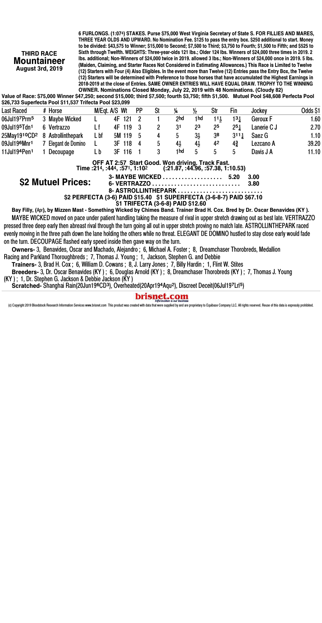**THIRD RACE Mountaineer** August 3rd, 2019

6 FURLONGS. (1:074) STAKES. Purse \$75,000 West Virginia Secretary of State S. FOR FILLIES AND MARES, THREE YEAR OLDS AND UPWARD. No Nomination Fee. \$125 to pass the entry box. \$250 additional to start. Money to be divided: \$43,575 to Winner; \$15,000 to Second; \$7,500 to Third; \$3,750 to Fourth; \$1,500 to Fifth; and \$525 to Sixth through Twelfth. WEIGHTS: Three-year-olds 121 lbs.; Older 124 lbs. Winners of \$24,000 three times in 2019. 2 Ibs. additional: Non-Winners of \$24,000 twice in 2019, allowed 3 lbs.: Non-Winners of \$24,000 once in 2019, 5 lbs. (Maiden, Claiming, and Starter Races Not Considered in Estimating Allowances.) This Race is Limited to Twelve (12) Starters with Four (4) Also Eligibles. In the event more than Twelve (12) Entries pass the Entry Box, the Twelve (12) Starters will be determined with Preference to those horses that have accumulated the Highest Earnings in 2018-2019 at the close of Entries. SAME OWNER ENTRIES WILL HAVE EQUAL DRAW. TROPHY TO THE WINNING OWNER. Nominations Closed Monday, July 22, 2019 with 48 Nominations. (Cloudy 82)

Value of Race: \$75,000 Winner \$47,250; second \$15,000; third \$7,500; fourth \$3,750; fifth \$1,500. Mutuel Pool \$48,608 Perfecta Pool \$26.733 Superfecta Pool \$11.537 Trifecta Pool \$23.099

| <b>Last Raced</b>        | # Horse                                                               | M/Eqt. A/S Wt                  |     |        | <b>PP</b> | St | 14                                               | $\frac{1}{2}$  | Str             | Fin                 | Jockev      | Odds \$1 |
|--------------------------|-----------------------------------------------------------------------|--------------------------------|-----|--------|-----------|----|--------------------------------------------------|----------------|-----------------|---------------------|-------------|----------|
| 06Jul197Prm <sup>5</sup> | 3 Maybe Wicked                                                        |                                | 4F. | 121    | 2         |    | 2hd                                              | 1hd            | $11\frac{1}{2}$ | 131                 | Geroux F    | 1.60     |
| 09Jul195Tdn1             | 6 Vertrazzo                                                           | Lf                             |     | 4F 119 | -3        | 2  | 31                                               | 23             | 25              | $25\frac{1}{4}$     | Lanerie C J | 2.70     |
| 25May1910CD2             | 8 Astrollinthepark                                                    | L bf                           |     | 5M 119 | -5        | 4  | 5                                                | 31             | 38              | $3^{11}\frac{1}{4}$ | Saez G      | 1.10     |
| 09Jul196Mnr1             | 7 Elegant de Domino                                                   |                                |     | 3F 118 | 4         | 5  | 4,                                               | $4\frac{1}{2}$ | 42              | 43                  | Lezcano A   | 39.20    |
| 11Jul194Pen1             | Decoupage                                                             | Lb                             |     | 3F 116 |           | 3  | 1 hd                                             | 5              | 5               | 5                   | Davis J A   | 11.10    |
|                          |                                                                       |                                |     |        |           |    | OFF AT 2:57 Start Good. Won driving. Track Fast. |                |                 |                     |             |          |
|                          |                                                                       | Time: 214, : 444, : 571, 1:102 |     |        |           |    | (.21.87, .44.96, .57.38, 1.10.53)                |                |                 |                     |             |          |
|                          |                                                                       |                                |     |        |           |    | 3- MAYBE WICKED                                  |                |                 | 5.20                | 3.00        |          |
|                          | <b>\$2 Mutuel Prices:</b>                                             |                                |     |        |           |    |                                                  |                |                 |                     | 3.80        |          |
|                          |                                                                       |                                |     |        |           |    |                                                  |                |                 | 8- ASTROLLINTHEPARK |             |          |
|                          | \$2 PERFECTA (3-6) PAID \$15.40 \$1 SUPERFECTA (3-6-8-7) PAID \$67.10 |                                |     |        |           |    |                                                  |                |                 |                     |             |          |
|                          |                                                                       |                                |     |        |           |    | 04 TDIEEATA (9 G G) DAID 049 GO                  |                |                 |                     |             |          |

Ş1 TRIFECTA (3-6-8) PAID \$12.60<br>. Bay Filly, (Apr), by Mizzen Mast - Something Wicked by Chimes Band. Trainer Brad H. Cox. Bred by Dr. Oscar Benavides (KY ). MAYBE WICKED moved on pace under patient handling taking the measure of rival in upper stretch drawing out as best late. VERTRAZZO pressed three deep early then abreast rival through the turn going all out in upper stretch proving no match late. ASTROLLINTHEPARK raced evenly moving in the three path down the lane holding the others while no threat. ELEGANT DE DOMINO hustled to stay close early would fade on the turn. DECOUPAGE flashed early speed inside then gave way on the turn.

Owners- 3, Benavides, Oscar and Machado, Alejandro; 6, Michael A. Foster; 8, Dreamchaser Thorobreds, Medallion Racing and Parkland Thoroughbreds; 7, Thomas J. Young; 1, Jackson, Stephen G. and Debbie<br>Trainers- 3, Brad H. Cox; 6, William D. Cowans; 8, J. Larry Jones; 7, Billy Hardin; 1, Flint W. Stites

Breeders- 3, Dr. Oscar Benavides (KY); 6, Douglas Arnold (KY); 8, Dreamchaser Thorobreds (KY); 7, Thomas J. Young (KY); 1, Dr. Stephen G. Jackson & Debbie Jackson (KY)

Scratched- Shanghai Rain(20Jun196CD3), Overheated(20Apr194Aqu2), Discreet Deceit(06Jul197Lrl5)

# **brisnet.com**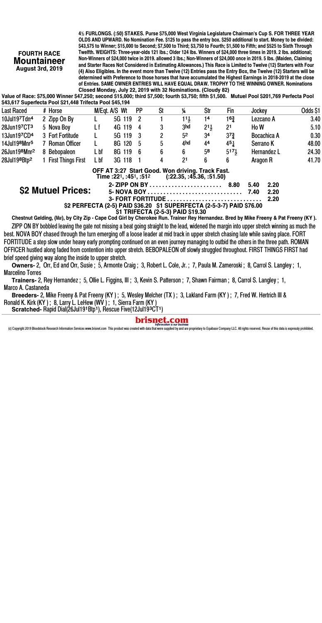### **FOURTH RACE Mountaineer** August 3rd, 2019

4% FURLONGS. (:50) STAKES. Purse \$75,000 West Virginia Legislature Chairman's Cup S. FOR THREE YEAR OLDS AND UPWARD. No Nomination Fee. \$125 to pass the entry box. \$250 additional to start. Money to be divided: \$43,575 to Winner; \$15,000 to Second; \$7,500 to Third; \$3,750 to Fourth; \$1,500 to Fifth; and \$525 to Sixth Through Twelfth. WEIGHTS: Three-year-olds 121 lbs.; Older 124 lbs. Winners of \$24,000 three times in 2019. 2 lbs. additional; Non-Winners of \$24,000 twice in 2019. allowed 3 lbs.; Non-Winners of \$24,000 once in 2019. 5 lbs. (Maiden, Claiming and Starter Races Not Considered in Estimating Allowances.) This Race is Limited to Twelve (12) Starters with Four (4) Also Eligibles. In the event more than Twelve (12) Entries pass the Entry Box, the Twelve (12) Starters will be determined with Preference to those horses that have accumulated the Highest Earnings in 2018-2019 at the close of Entries. SAME OWNER ENTRIES WILL HAVE EQUAL DRAW. TROPHY TO THE WINNING OWNER. Nominations Closed Monday, July 22, 2019 with 32 Nominations. (Cloudy 82)

Value of Race: \$75,000 Winner \$47,250; second \$15,000; third \$7,500; fourth \$3,750; fifth \$1,500. Mutuel Pool \$201,769 Perfecta Pool \$43.617 Superfecta Pool \$21.448 Trifecta Pool \$45.194

| <b>Last Raced</b>        | # Horse                                                                                                                              |      | M/Egt. A/S Wt         | <b>PP</b> | St                                               | 14                       | Str             | Fin                                                                   | Jockey    |             | Odds \$1 |
|--------------------------|--------------------------------------------------------------------------------------------------------------------------------------|------|-----------------------|-----------|--------------------------------------------------|--------------------------|-----------------|-----------------------------------------------------------------------|-----------|-------------|----------|
| 10Jul197Tdn4             | 2 Zipp On By                                                                                                                         |      | 5G 119                | -2        |                                                  | $11\frac{1}{2}$          | 14              | $16\frac{3}{4}$                                                       | Lezcano A |             | 3.40     |
| 28Jun197CT3              | 5 Nova Bov                                                                                                                           | L f  | 4G 119                | 4         | 3                                                | 3hd                      | $21\frac{1}{2}$ | 21                                                                    | Ho W      |             | 5.10     |
| 13Jun197CD4              | 3 Fort Fortitude                                                                                                                     |      | 5G 119                | -3        | 2                                                | 52                       | 34              | 373                                                                   |           | Bocachica A | 0.30     |
| 14Jul198Mnr5             | 7 Roman Officer                                                                                                                      |      | 8G 120                | - 5       | 5                                                | 4hd                      | 44              | $45\frac{1}{4}$                                                       | Serrano K |             | 48.00    |
| 26Jun198Mnr2             | 8 Bebopaleon                                                                                                                         | L bf | 8G 119                | - 6       | 6                                                | 6                        | 58              | $517\frac{1}{2}$                                                      |           | Hernandez L | 24.30    |
| 28Jul198Btp <sup>2</sup> | 1 First Things First                                                                                                                 | L bf | 3G 118                |           | 4                                                | 21                       | 6               | 6                                                                     | Aragon R  |             | 41.70    |
|                          |                                                                                                                                      |      | Time :221, :451, :512 |           | OFF AT 3:27 Start Good. Won driving. Track Fast. | (.22.35, .45.36, .51.50) |                 |                                                                       |           |             |          |
|                          |                                                                                                                                      |      |                       |           |                                                  |                          |                 | 8.80                                                                  | 5.40      | 2.20        |          |
|                          | <b>\$2 Mutuel Prices:</b>                                                                                                            |      |                       |           |                                                  |                          |                 |                                                                       | 7.40      | 2.20        |          |
|                          |                                                                                                                                      |      |                       |           |                                                  |                          |                 |                                                                       |           | 2.20        |          |
|                          |                                                                                                                                      |      |                       |           | \$1 TRIFECTA (2-5-3) PAID \$19.30                |                          |                 | \$2 PERFECTA (2-5) PAID \$36.20 \$1 SUPERFECTA (2-5-3-7) PAID \$76.00 |           |             |          |
|                          | Chastaut Calding, Alei), by City 7in, Cana Cad Civi by Charakes Dun, Trainer Day Harmonder, Drad by Mike Fragmy 8, Det Fragmy (KV.). |      |                       |           |                                                  |                          |                 |                                                                       |           |             |          |

Chestnut Gelding, (Mar), by City Zip - Cape Cod Girl by Cherokee Run. Trainer Rey Hernandez. Bred by Mike Freeny & Pat Freeny (KY). ZIPP ON BY bobbled leaving the gate not missing a beat going straight to the lead, widened the margin into upper stretch winning as much the best. NOVA BOY chased through the turn emerging off a loose leader at mid track in upper stretch chasing late while saving place. FORT FORTITUDE a step slow under heavy early prompting continued on an even journey managing to outbid the others in the three path. ROMAN OFFICER hustled along faded from contention into upper stretch. BEBOPALEON off slowly struggled throughout. FIRST THINGS FIRST had brief speed giving way along the inside to upper stretch.

Owners- 2, Orr, Ed and Orr, Susie; 5, Armonte Craig; 3, Robert L. Cole, Jr.; 7, Paula M. Zameroski; 8, Carrol S. Langley; 1, **Marcelino Torres** 

Trainers- 2, Rey Hernandez; 5, Ollie L. Figgins, III; 3, Kevin S. Patterson; 7, Shawn Fairman; 8, Carrol S. Langley; 1, Marco A. Castaneda

Breeders- 2, Mike Freeny & Pat Freeny (KY); 5, Wesley Melcher (TX); 3, Lakland Farm (KY); 7, Fred W. Hertrich III & Ronald K. Kirk (KY); 8, Larry L. LeHew (WV); 1, Sierra Farm (KY)<br>Scratched-Rapid Dial(26Jul191Btp1), Rescue Five(12Jul199CT1)

# brisnet.com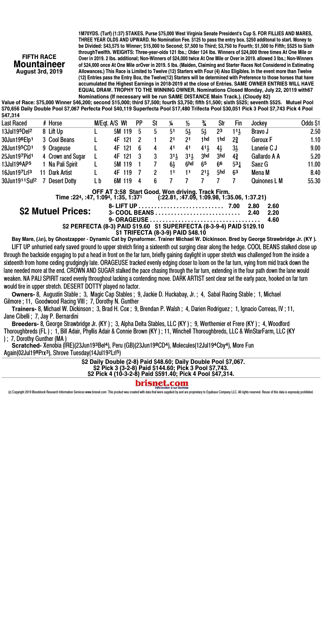FIFTH RACE Mountaineer August 3rd, 2019

1M70YDS. (Turf) (1:37) STAKES. Purse \$75,000 West Virginia Senate President's Cup S. FOR FILLIES AND MARES, THREE YEAR OLDS AND UPWARD. No Nomination Fee. \$125 to pass the entry box. \$250 additonal to start. Money to be Divided: \$43,575 to Winner; \$15,000 to Second; \$7,500 to Third; \$3,750 to Fourth; \$1,500 to Fifth; \$525 to Sixth throughTwelfth. WEIGHTS: Three-year-olds 121 lbs.; Older 124 lbs. Winners of \$24,000 three times At One Mile or Over in 2019. 2 lbs. additional; Non-Winners of \$24,000 twice At One Mile or Over in 2019. allowed 3 lbs.; Non-Winners of \$24,000 once At One Mile orOver in 2019. 5 lbs. (Maiden, Claiming and Starter Races Not Considered in Estimating Allowances.) This Race is Limited to Twelve (12) Starters with Four (4) Also Eligibles. In the event more than Twelve (12) Entries pass the Entry Box, the Twelve(12) Starters will be determined with Preference to those horses that have accumulated the Highest Earnings in 2018-2019 at the close of Entries. SAME OWNER ENTRIES WILL HAVE EQUAL DRAW. TROPHY TO THE WINNING OWNER. Nominations Closed Monday, July 22, 20119 with67

Nominations (If necessary will be run SAME DISTANCE Main Track.). (Cloudy 82)<br>Value of Race: \$75,000 Winner \$46,200; second \$15,000; third \$7,500; fourth \$3,750; fifth \$1,500; sixth \$525; seventh \$525. Mutuel Pool \$70,656 Daily Double Pool \$7,067 Perfecta Pool \$40,119 Superfecta Pool \$17,480 Trifecta Pool \$30,051 Pick 3 Pool \$7,743 Pick 4 Pool \$47,314

| <b>Last Raced</b>        |    | # Horse                         |     | M/Eqt. A/S Wt                                    | <b>PP</b> | St | ¼   | $\frac{1}{2}$   | ¾               | Str  | Fin            | Jockey                                         | Odds \$1 |
|--------------------------|----|---------------------------------|-----|--------------------------------------------------|-----------|----|-----|-----------------|-----------------|------|----------------|------------------------------------------------|----------|
| 13Jul195Del <sup>2</sup> |    | 8 Lift Up                       |     | 5M 119                                           | 5         | 5  | 51  | 51              | $5\frac{1}{2}$  | 23   | 11,            | Bravo J                                        | 2.50     |
| 30Jun196Elp1             |    | 3 Cool Beans                    |     | 4F 121                                           |           |    | 21  | 21              | 1 hd            | 1 hd | $2\frac{3}{4}$ | Geroux F                                       | 1.10     |
| 28Jun19 <sup>5</sup> CD1 |    | 9 Orageuse                      |     | 4F 121                                           | 6         | 4  | 41  | 41              | $41\frac{1}{2}$ | 41,  | 3 <sub>5</sub> | Lanerie C J                                    | 9.00     |
| 25Jun197Pid1             |    | 4 Crown and Sugar               | L   | 4F 121                                           |           | 3  | 311 | $31\frac{1}{2}$ | 3hd             | 3hd  | 43             | Gallardo A A                                   | 5.20     |
| 13Jul196AP5              |    | 1 Na Pali Spirit                |     | 5M 119                                           |           |    | 61  | 6hd             | 65              | 66   | 531            | Saez G                                         | 11.00    |
| 16Jun197Lrl <sup>3</sup> | 11 | Dark Artist                     |     | 4F 119                                           |           |    | 11  | 11              | $21\frac{1}{2}$ | 5hd  | 63             | Mena M                                         | 8.40     |
| 30Jun1911Suf2            |    | <b>Desert Dotty</b>             | L b | 6M 119                                           | 4         | 6  |     |                 |                 |      |                | Quinones L M                                   | 55.30    |
|                          |    | Time: 004 : 47 1:004 1:25 1:271 |     | OFF AT 3:58 Start Good. Won driving. Track Firm. |           |    |     |                 |                 |      |                | $(0.22.91, 0.7.00, 1.00.00, 1.25.00, 1.27.21)$ |          |

Time :22«, :47, 1:09«, 1:35, 1:37¨ (:22.81, :47.09, 1:09.98, 1:35.06, 1:37.21)

\$2 Mutuel Prices:

 8- LIFT UP . . . . . . . . . . . . . . . . . . . . . . . . . . . 7.00 2.80 2.60 3- COOL BEANS . . . . . . . . . . . . . . . . . . . . . . . . . . . 2.40 2.20 9- ORAGEUSE . . . . . . . . . . . . . . . . . . . . . . . . . . . . . . . . . . . 4.60 \$2 PERFECTA (8-3) PAID \$19.60 \$1 SUPERFECTA (8-3-9-4) PAID \$129.10 \$1 TRIFECTA (8-3-9) PAID \$48.10

Bay Mare, (Jun), by Ghostzapper - Dynamic Cat by Dynaformer. Trainer Michael W. Dickinson. Bred by George Strawbridge Jr. (KY). LIFT UP unhurried early saved ground to upper stretch firing a sixteenth out surging clear along the hedge. COOL BEANS stalked close up through the backside engaging to put a head in front on the far turn, briefly gaining daylight in upper stretch was challenged from the inside a sixteenth from home ceding grudgingly late. ORAGEUSE tracked evenly edging closer to loom on the far turn, vying from mid track down the lane needed more at the end. CROWN AND SUGAR stalked the pace chasing through the far turn, extending in the four path down the lane would weaken. NA PALI SPIRIT raced evenly throughout lacking a contending move. DARK ARTIST sent clear set the early pace, hooked on far turn would tire in upper stretch. DESERT DOTTY played no factor.

Owners- 8, Augustin Stable ; 3, Magic Cap Stables ; 9, Jackie D. Huckabay, Jr. ; 4, Sabal Racing Stable ; 1, Michael Gilmore ; 11, Goodwood Racing VIII ; 7, Dorothy N. Gunther

Trainers- 8, Michael W. Dickinson ; 3, Brad H. Cox ; 9, Brendan P. Walsh ; 4, Darien Rodriguez ; 1, Ignacio Correas, IV ; 11, Jane Cibelli ; 7, Jay P. Bernardini

Breeders- 8, George Strawbridge Jr. (KY ) ; 3, Alpha Delta Stables, LLC (KY ) ; 9, Werthemier et Frere (KY ) ; 4, Woodford Thoroughbreds (FL ) ; 1, Bill Adair, Phyllis Adair & Connie Brown (KY ) ; 11, Winchell Thoroughbreds, LLC & WinStarFarm, LLC (KY ) ; 7, Dorothy Gunther (MA )

Scratched- Xenobia (IRE)(23Jun193Bel<sup>4</sup>), Peru (GB)(23Jun19<sup>8</sup>CD<sup>4</sup>), Molecules(12Jul194Cby<sup>4</sup>), More Fun Again(02Jul19<sup>8</sup>Prx<sup>3</sup>), Shrove Tuesday(14Jul19<sup>2</sup>Lrl<sup>5</sup>)

> \$2 Daily Double (2-8) Paid \$48.60; Daily Double Pool \$7,067. \$2 Pick 3 (3-2-8) Paid \$144.60; Pick 3 Pool \$7,743. \$2 Pick 4 (10-3-2-8) Paid \$591.40; Pick 4 Pool \$47,314. **brisnet.com**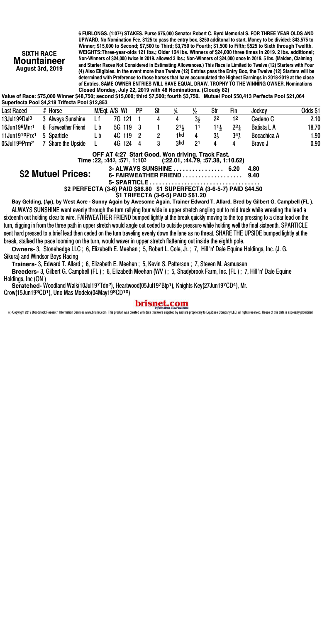**SIXTH RACE Mountaineer** August 3rd, 2019

6 FURLONGS. (1:074) STAKES. Purse \$75,000 Senator Robert C. Byrd Memorial S. FOR THREE YEAR OLDS AND UPWARD. No Nomination Fee. \$125 to pass the entry box. \$250 additonal to start. Money to be divided: \$43,575 to Winner; \$15,000 to Second; \$7,500 to Third; \$3,750 to Fourth; \$1,500 to Fifth; \$525 to Sixth through Twelfth. WEIGHTS: Three-year-olds 121 lbs.; Older 124 lbs. Winners of \$24,000 three times in 2019. 2 lbs. additional; Non-Winners of \$24,000 twice in 2019. allowed 3 lbs.; Non-Winners of \$24,000 once in 2019. 5 lbs. (Maiden, Claiming and Starter Races Not Considered in Estimating Allowances.) This Race is Limited to Twelve (12) Starters with Four (4) Also Eligibles. In the event more than Twelve (12) Entries pass the Entry Box, the Twelve (12) Starters will be determined with Preference to those horses that have accumulated the Highest Earnings in 2018-2019 at the close of Entries. SAME OWNER ENTRIES WILL HAVE EQUAL DRAW. TROPHY TO THE WINNING OWNER. Nominations Closed Monday, July 22, 2019 with 48 Nominations. (Cloudy 82)

Value of Race: \$75,000 Winner \$48,750; second \$15,000; third \$7,500; fourth \$3,750. Mutuel Pool \$50,413 Perfecta Pool \$21,064 Superfecta Pool \$4,218 Trifecta Pool \$12,853

| <b>Last Raced</b>        | # Horse                                                                                                                                                                                                                                                                              | M/Eat. A/S Wt                                                         | <b>PP</b> | St                                                           | 14              | ½  | Str             | Fin              | Jockev             | Odds \$1 |
|--------------------------|--------------------------------------------------------------------------------------------------------------------------------------------------------------------------------------------------------------------------------------------------------------------------------------|-----------------------------------------------------------------------|-----------|--------------------------------------------------------------|-----------------|----|-----------------|------------------|--------------------|----------|
| 13Jul196Del <sup>3</sup> | 3 Always Sunshine                                                                                                                                                                                                                                                                    | 7G 121<br>Lf                                                          |           | 4                                                            | 4               | 31 | 22              | 12               | Cedeno C           | 2.10     |
| 16Jun198Mnr1             | 6 Fairweather Friend                                                                                                                                                                                                                                                                 | L b<br>5G 119                                                         | -3        |                                                              | $21\frac{1}{2}$ | 11 | $11\frac{1}{2}$ | $2^2\frac{1}{4}$ | Batista L A        | 18.70    |
| 11Jun1910Prx1            | 5 Sparticle                                                                                                                                                                                                                                                                          | L b<br>4C 119                                                         | -2        | 2                                                            | 1 hd            | 4  | 31,             | $34\frac{1}{2}$  | <b>Bocachica A</b> | 1.90     |
| 05Jul195Prm2             | 7 Share the Upside                                                                                                                                                                                                                                                                   | 4G 124<br>L                                                           | 4         | 3                                                            | 3hd             | 21 | 4               | 4                | Bravo J            | 0.90     |
|                          | \$2 Mutuel Prices:                                                                                                                                                                                                                                                                   | \$2 PERFECTA (3-6) PAID \$86.80 \$1 SUPERFECTA (3-6-5-7) PAID \$44.50 |           | 3- ALWAYS SUNSHINE 6.20<br>\$1 TRIFECTA (3-6-5) PAID \$61.20 |                 |    |                 |                  | 4.80<br>9.40       |          |
|                          | Bay Gelding, (Apr), by West Acre - Sunny Again by Awesome Again. Trainer Edward T. Allard. Bred by Gilbert G. Campbell (FL).                                                                                                                                                         |                                                                       |           |                                                              |                 |    |                 |                  |                    |          |
|                          | ALWAYS SUNSHINE went evenly through the turn rallying four wide in upper stretch angling out to mid track while wresting the lead a<br>sixteenth out holding clear to wire. FAIRWEATHER FRIEND bumped lightly at the break quickly moving to the top pressing to a clear lead on the |                                                                       |           |                                                              |                 |    |                 |                  |                    |          |

turn, digging in from the three path in upper stretch would angle out ceded to outside pressure while holding well the final sixteenth. SPARTICLE sent hard pressed to a brief lead then ceded on the turn traveling evenly down the lane as no threat. SHARE THE UPSIDE bumped lightly at the break, stalked the pace looming on the turn, would waver in upper stretch flattening out inside the eighth pole.

Owners- 3, Stonehedge LLC; 6, Elizabeth E. Meehan; 5, Robert L. Cole, Jr.; 7, Hill 'n' Dale Equine Holdings, Inc. (J. G. Sikura) and Windsor Boys Racing

Trainers- 3, Edward T. Allard; 6, Elizabeth E. Meehan; 5, Kevin S. Patterson; 7, Steven M. Asmussen

Breeders- 3, Gilbert G. Campbell (FL); 6, Elizabeth Meehan (WV); 5, Shadybrook Farm, Inc. (FL); 7, Hill 'n' Dale Equine Holdings, Inc (ON)<br>Scratched-Woodland Walk(10Jul197Tdn<sup>2</sup>), Heartwood(05Jul197Btp1), Knights Key(27Jun197CD4), Mr.

Crow(15Jun193CD1), Uno Mas Modelo(04May198CD10)

brisnet.com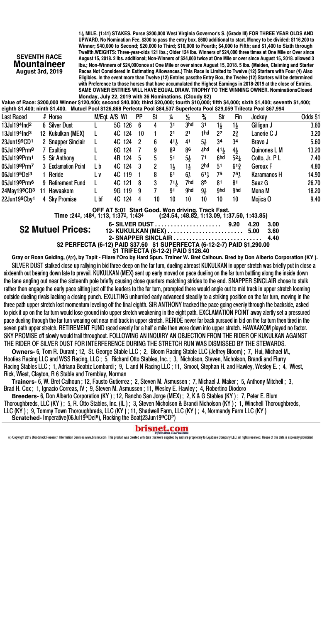SEVENTH RACE Mountaineer August 3rd, 2019

1ˆ MILE. (1:41) STAKES. Purse \$200,000 West Virginia Governor's S. (Grade III) FOR THREE YEAR OLDS AND UPWARD. No Nomination Fee. \$300 to pass the entry box. \$600 additional to start. Money to be divided: \$116,200 to Winner; \$40,000 to Second; \$20,000 to Third; \$10,000 to Fourth; \$4,000 to Fifth; and \$1,400 to Sixth through Twelfth.WEIGHTS: Three-year-olds 121 lbs.; Older 124 lbs. Winners of \$24,000 three times at One Mile or Over since August 15, 2018. 2 lbs. additional; Non-Winners of \$24,000 twice at One Mile or over since August 15, 2018. allowed 3 lbs.; Non-Winners of \$24,000once at One Mile or over since August 15, 2018. 5 lbs. (Maiden, Claiming and Starter Races Not Considered in Estimating Allowances.) This Race is Limited to Twelve (12) Starters with Four (4) Also Eligibles. In the event more than Twelve (12) Entries passthe Entry Box, the Twelve (12) Starters will be determined with Preference to those horses that have accumulated the Highest Earnings in 2018-2019 at the close of Entries. SAME OWNER ENTRIES WILL HAVE EQUAL DRAW. TROPHY TO THE WINNING OWNER. NominationsClosed Monday, July 22, 2019 with 36 Nominations. (Cloudy 82)

Value of Race: \$200,000 Winner \$120,400; second \$40,000; third \$20,000; fourth \$10,000; fifth \$4,000; sixth \$1,400; seventh \$1,400; eighth \$1,400; ninth \$1,400. Mutuel Pool \$126,868 Perfecta Pool \$84,537 Superfecta Pool \$29,059 Trifecta Pool \$67,994

| Last Raced               |    | # Horse             |      | M/Eqt. A/S Wt                                 | <b>PP</b> | St | ¼               | $\frac{1}{2}$  | ¾               | Str            | Fin             | Jockey        | Odds \$1 |
|--------------------------|----|---------------------|------|-----------------------------------------------|-----------|----|-----------------|----------------|-----------------|----------------|-----------------|---------------|----------|
| 13Jul194Ind <sup>2</sup> |    | 6 Silver Dust       |      | 5G 126                                        | 6         | 4  | 31              | 3hd            | 31              | $1\frac{1}{2}$ | 11,             | Gilligan J    | 3.60     |
| 13Jul194Ind <sup>3</sup> |    | 12 Kukulkan (MEX)   | L    | 4C 124                                        | 10        |    | 21              | 21             | 1 hd            | 22             | 23              | Lanerie C J   | 3.20     |
| 23Jun199CD1              |    | 2 Snapper Sinclair  | L    | 4C 124                                        | 2         | 6  | $41\frac{1}{2}$ | 41             | $5\frac{1}{2}$  | 34             | 34              | Bravo J       | 5.60     |
| 05Jul198Prm8             |    | 7 Exulting          |      | 6G 124                                        |           | 9  | βЗ              | 86             | 4hd             | 411            | 4,              | Quinones L M  | 13.20    |
| 05Jul198Prm1             |    | 5 Sir Anthony       |      | 4R 124                                        | 5         | 5  | 51              | $5\frac{1}{2}$ | 71              | 6hd            | $5^2$           | Cotto. Jr. PL | 7.40     |
| 05Jul198Prm <sup>7</sup> |    | 3 Exclamation Point | L b  | 4C 124                                        | -3        | 2  | $1\frac{1}{2}$  | 11             | 2hd             | 51             | $61\frac{3}{4}$ | Geroux F      | 4.80     |
| 06Jul195Del <sup>3</sup> |    | 1 Reride            | Lν   | 4C 119                                        |           | 8  | 61              | 61             | $61\frac{1}{2}$ | 75             | $75\frac{1}{2}$ | Karamanos H   | 14.90    |
| 05Jul198Prm6             |    | 9 Retirement Fund   |      | 4C 121                                        | - 8       | 3  | 711,            | 7hd            | 85              | 81             | 81              | Saez G        | 26.70    |
| 24May198CD3              | 11 | Hawaakom            |      | 9G 119                                        | 9         |    | 91              | 9hd            | 9 <sub>z</sub>  | <b>9hd</b>     | 9hd             | Mena M        | 18.20    |
| 22Jun199Cbv1             |    | 4 Sky Promise       | L bf | 4C 124                                        | 4         | 10 | 10              | 10             | 10              | 10             | 10              | Mojica O      | 9.40     |
|                          |    |                     |      | OFF AT 5:01 Start Good Won driving Track Fast |           |    |                 |                |                 |                |                 |               |          |

OFF AT 5:01 Start Good. Won driving. Track Fast. Time :24©, :48«, 1:13, 1:37©, 1:43« (:24.54, :48.82, 1:13.09, 1:37.50, 1:43.85)

|                           |                                                                            |  | - 3.00 |
|---------------------------|----------------------------------------------------------------------------|--|--------|
| <b>\$2 Mutuel Prices:</b> |                                                                            |  | - 3.60 |
|                           |                                                                            |  |        |
|                           | \$2 PERFECTA (6-12) PAID \$37.60 \$1 SUPERFECTA (6-12-2-7) PAID \$1,290.00 |  |        |
|                           |                                                                            |  |        |

\$2 PERFECTA (6-12) PAID \$37.60 \$1 SUPERFECTA (6-12-2-7) PAID \$1,290.00<br>\$1 TRIFECTA (6-12-2) PAID \$126.40<br>.Gray or Roan Gelding, (Apr), by Tapit - Filare l'Oro by Hard Spun. Trainer W. Bret Calhoun. Bred by Don Alberto Co SILVER DUST stalked close up rallying in bid three deep on the far turn, dueling abreast KUKULKAN in upper stretch was briefly put in close a sixteenth out bearing down late to prevail. KUKULKAN (MEX) sent up early moved on pace dueling on the far turn battling along the inside down the lane angling out near the sixteenth pole briefly causing close quarters matching strides to the end. SNAPPER SINCLAIR chose to stalk rather then engage the early pace sitting just off the leaders to the far turn, prompted there would angle out to mid track in upper stretch looming outside dueling rivals lacking a closing punch. EXULTING unhurried early advanced steadily to a striking position on the far turn, moving in the three path upper stretch lost momentum leveling off the final eighth. SIR ANTHONY tracked the pace going evenly through the backside, asked to pick it up on the far turn would lose ground into upper stretch weakening in the eight path. EXCLAMATION POINT away alertly set a pressured pace dueling through the far turn wearing out near mid track in upper stretch. RERIDE never far back pursued in bid on the far turn then tired in the seven path upper stretch. RETIREMENT FUND raced evenly for a half a mile then wore down into upper stretch. HAWAAKOM played no factor. SKY PROMISE off slowly would trail throughout. FOLLOWING AN INQUIRY AN OBJECTION FROM THE RIDER OF KUKULKAN AGAINST THE RIDER OF SILVER DUST FOR INTERFERENCE DURING THE STRETCH RUN WAS DISMISSED BY THE STEWARDS.

Owners- 6, Tom R. Durant ; 12, St. George Stable LLC ; 2, Bloom Racing Stable LLC (Jeffrey Bloom) ; 7, Hui, Michael M., Hooties Racing LLC and WSS Racing, LLC ; 5, Richard Otto Stables, Inc. ; 3, Nicholson, Steven, Nicholson, Brandi and Flurry Racing Stables LLC ; 1, Adriana Beatriz Lombardi ; 9, L and N Racing LLC ; 11, Smoot, Stephan H. and Hawley, Wesley E. ; 4, Wiest, Rick, Wiest, Clayton, R 6 Stable and Tremblay, Norman

Trainers- 6, W. Bret Calhoun ; 12, Fausto Gutierrez ; 2, Steven M. Asmussen ; 7, Michael J. Maker ; 5, Anthony Mitchell ; 3, Brad H. Cox ; 1, Ignacio Correas, IV ; 9, Steven M. Asmussen ; 11, Wesley E. Hawley ; 4, Robertino Diodoro

Breeders- 6, Don Alberto Corporation (KY ) ; 12, Rancho San Jorge (MEX) ; 2, K & G Stables (KY ) ; 7, Peter E. Blum Thoroughbreds, LLC (KY); 5, R. Otto Stables, Inc. (IL); 3, Steven Nicholson & Brandi Nicholson (KY); 1, Winchell Thoroughbreds, LLC (KY ) ; 9, Tommy Town Thoroughbreds, LLC (KY ) ; 11, Shadwell Farm, LLC (KY ) ; 4, Normandy Farm LLC (KY ) Scratched- Imperative(06Jul19<sup>5</sup>Del<sup>6</sup>), Rocking the Boat(23Jun199CD<sup>2</sup>)

# **brisnet.com**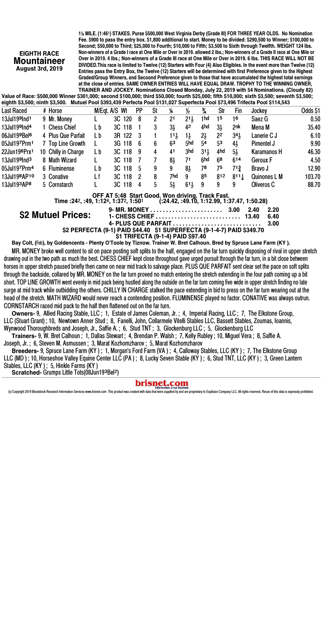EIGHTH RACE Mountaineer August 3rd, 2019

1% MILE. (1:461) STAKES. Purse \$500,000 West Virginia Derby (Grade III) FOR THREE YEAR OLDS. No Nomination Fee. \$900 to pass the entry box. \$1,800 additional to start. Money to be divided: \$290,500 to Winner; \$100,000 to Second; \$50,000 to Third; \$25,000 to Fourth; \$10,000 to Fifth; \$3,500 to Sixth through Twelfth. WEIGHT 124 lbs. Non-winners of a Grade I race at One Mile or Over in 2019. allowed 2 lbs.; Non-winners of a Grade II race at One Mile or Over in 2019. 4 lbs.; Non-winners of a Grade III race at One Mile or Over in 2019. 6 lbs. THIS RACE WILL NOT BE DIVIDED.This race is limited to Twelve (12) Starters with Four (4) Also Eligibles. In the event more than Twelve (12) Entries pass the Entry Box, the Twelve (12) Starters will be determined with first Preference given to the Highest Graded/Group Winners, and Secoond Preference given to those that have accumulated the highest total earnings at the close of entries. SAME OWNER ENTRIES WILL HAVE EQUAL DRAW. TROPHY TO THE WINNING OWNER, TRAINER AND JOCKEY. Nominations Closed Monday, July 22, 2019 with 54 Nominations. (Cloudy 82)

Value of Race: \$500,000 Winner \$301,000; second \$100,000; third \$50,000; fourth \$25,000; fifth \$10,000; sixth \$3,500; seventh \$3,500;<br>eighth \$3,500; ninth \$3,500. Mutuel Pool \$393,439 Perfecta Pool \$131,027 Superfecta Po

| <b>Last Raced</b>        | # Horse                           |     | M/Eqt. A/S Wt                                    | <b>PP</b> | St | 14              | $\frac{1}{2}$   | ℁   | Str            | Fin             | Jockev                                           | Odds \$1 |
|--------------------------|-----------------------------------|-----|--------------------------------------------------|-----------|----|-----------------|-----------------|-----|----------------|-----------------|--------------------------------------------------|----------|
| 13Jul199Ind <sup>1</sup> | 9 Mr. Money                       |     | 3C 120                                           | 8         | 2  | 21              | $21\frac{1}{2}$ | 1hd | 1 <sup>5</sup> | 16              | Saez G                                           | 0.50     |
| 13Jul199Ind <sup>4</sup> | 1 Chess Chief                     | Lb  | 3C 118                                           |           | 3  | $3\frac{1}{2}$  | 42              | 4hd | 3 <sub>5</sub> | 2nk             | Mena M                                           | 35.40    |
| 06Jul199Bel <sup>6</sup> | 4 Plus Que Parfait                | L b | 3R 122                                           | -3        |    | $11\frac{1}{2}$ | 11,             | 21, | 22             | $34\frac{1}{2}$ | Lanerie C J                                      | 6.10     |
| 05Jul197Prm1             | 7 Top Line Growth                 | L   | 3G 118                                           | -6        | 6  | 63              | 5hd             | 54  | 53             | 41,             | Pimentel J                                       | 9.90     |
| 22Jun196Prx1             | 10 Chilly in Charge               | L b | 3C 118                                           | 9         | 4  | 41              | 3hd             | 311 | 4hd            | $5\frac{1}{2}$  | Karamanos H                                      | 46.30    |
| 13Jul199Ind <sup>3</sup> | 8 Math Wizard                     |     | 3C 118                                           |           |    | 81              | 71              | 6hd | 68             | 614             | Geroux F                                         | 4.50     |
| 05Jul197Prm4             | 6 Fluminense                      | Lb  | 3C 118                                           | 5         | 9  | 9               | 81              | 78  | 75             | $71\frac{3}{4}$ | Bravo J                                          | 12.90    |
| 13Jul198AP10             | 3 Conative                        | L f | 3C 118                                           | 2         | 8  | 7hd             | 9               | 85  | 812            | 8111            | Quinones L M                                     | 103.70   |
| 13Jul193AP8              | 5 Cornstarch                      |     | 3C 118                                           | 4         | 5  | 51              | $61\frac{1}{2}$ | 9   | 9              | 9               | Oliveros C                                       | 88.70    |
|                          | Time - 040 - 40 4-404 4-070 4-504 |     | OFF AT 5:48 Start Good. Won driving. Track Fast. |           |    |                 |                 |     |                |                 | $(0.01, 10, 0.00, 0.00, 0.00, 0.07, 0.00, 0.00)$ |          |

Time :24©, :49, 1:12«, 1:37©, 1:50¨ (:24.42, :49.10, 1:12.99, 1:37.47, 1:50.28) 9- MR. MONEY . . . . . . . . . . . . . . . . . . . . . . . 3.00 2.40 2.20 1- CHESS CHIEF . . . . . . . . . . . . . . . . . . . . . . . . . . . 13.40 6.40 4- PLUS QUE PARFAIT . \$2 Mutuel Prices:

\$2 PERFECTA (9-1) PAID \$44.40 \$1 SUPERFECTA (9-1-4-7) PAID \$349.70

\$1 TRIFECTA (9-1-4) PAID \$97.40

Bay Colt, (Feb), by Goldencents - Plenty O'Toole by Tiznow. Trainer W. Bret Calhoun. Bred by Spruce Lane Farm (KY). MR. MONEY broke well content to sit on pace posting soft splits to the half, engaged on the far turn quickly disposing of rival in upper stretch drawing out in the two path as much the best. CHESS CHIEF kept close throughout gave urged pursuit through the far turn, in a bit close between horses in upper stretch paused briefly then came on near mid track to salvage place. PLUS QUE PARFAIT sent clear set the pace on soft splits through the backside, collared by MR. MONEY on the far turn proved no match entering the stretch extending in the four path coming up a bit short. TOP LINE GROWTH went evenly in mid pack being hustled along the outside on the far turn coming five wide in upper stretch finding no late surge at mid track while outbidding the others. CHILLY IN CHARGE stalked the pace extending in bid to press on the far turn wearing out at the head of the stretch. MATH WIZARD would never reach a contending position. FLUMINENSE played no factor. CONATIVE was always outrun. CORNSTARCH raced mid pack to the half then flattened out on the far turn.

Owners- 9, Allied Racing Stable, LLC ; 1, Estate of James Coleman, Jr. ; 4, Imperial Racing, LLC ; 7, The Elkstone Group, LLC (Stuart Grant) ; 10, Newtown Anner Stud ; 8, Fanelli, John, Collarmele Vitelli Stables LLC, Bassett Stables, Zoumas, Ioannis, Wynwood Thoroughbreds and Joseph, Jr., Saffie A. ; 6, Stud TNT ; 3, Glockenburg LLC ; 5, Glockenburg LLC

Trainers- 9, W. Bret Calhoun ; 1, Dallas Stewart ; 4, Brendan P. Walsh ; 7, Kelly Rubley ; 10, Miguel Vera ; 8, Saffie A. Joseph, Jr. ; 6, Steven M. Asmussen ; 3, Marat Kozhomzharov ; 5, Marat Kozhomzharov

Breeders- 9, Spruce Lane Farm (KY ) ; 1, Morgan's Ford Farm (VA ) ; 4, Calloway Stables, LLC (KY ) ; 7, The Elkstone Group LLC (MD ) ; 10, Horseshoe Valley Equine Center LLC (PA ) ; 8, Lucky Seven Stable (KY ) ; 6, Stud TNT, LLC (KY ) ; 3, Green Lantern Stables, LLC (KY): 5, Hinkle Farms (KY)

Scratched- Grumps Little Tots(08Jun193Bel2)

**brisnet.com**